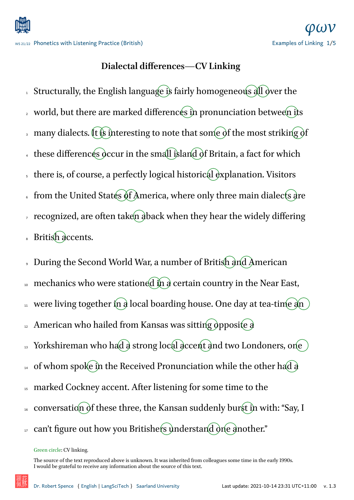*φων* Examples of Linking 1/5

### **[Dialectal d](http://www.spence.saar.de/courses/phoneticswithlistening/)ifferences—CV Linking**

 $\cdot$  Structurally, the English language is fairly homogeneous all over the  $\cdot$  world, but there are marked differences in pronunciation between its  $\cdot$  many dialects. It is interesting to note that some of the most striking of  $\cdot$  these differences  $\frac{\partial}{\partial x}$  occur in the small island  $\frac{\partial}{\partial y}$  Britain, a fact for which  $\cdot$  there is, of course, a perfectly logical historical explanation. Visitors **6** from the United States of America, where only three main dialects are  $\sigma$  recognized, are often taken aback when they hear the widely differing British**✒✑ ✓✏** <sup>8</sup> accents.

by During the Second World War, a number of British and American

<u>10</u> mechanics who were stationed in a certain country in the Near East,

 $\mathbf{w}$ ere living together  $\hat{\mathbf{w}}$  local boarding house. One day at tea-time and 11

 $\cdot$  American who hailed from Kansas was sitting  $\partial$ pposite  $\partial$ 

 $Y$ orkshireman who had a strong local accent and two Londoners, one  $\bigcirc$ 13

 $\cdot$  of whom spoke in the Received Pronunciation while the other had a

- <sup>15</sup> marked Cockney accent. After listening for some time to the
- $\cdot$  conversation of these three, the Kansan suddenly burst in with: "Say, I
- $\mathbf{u}$  can't figure out how you Britishers understand one another."

Green circle: CV linking.

The source of the text reproduced above is unknown. It was inherited from colleagues some time in the early 1990s. I would be grateful to receive any information about the source of this text.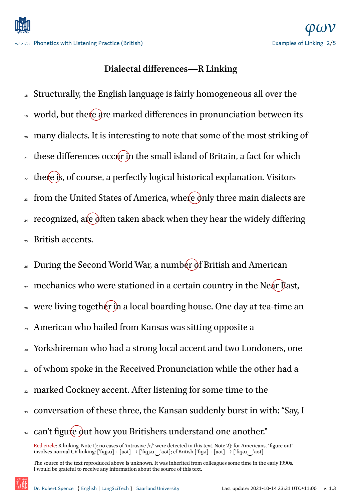*φων* Examples of Linking 2/5

# **[Dialectal](http://www.spence.saar.de/courses/phoneticswithlistening/) differences—R Linking**

<sup>18</sup> Structurally, the English language is fairly homogeneous all over the <sup>19</sup> world, but there are marked differences in pronunciation between its <sup>20</sup> many dialects. It is interesting to note that some of the most striking of <sup>21</sup> these differences occur in the small island of Britain, a fact for which <sup>22</sup> there is, of course, a perfectly logical historical explanation. Visitors <sup>23</sup> from the United States of America, where only three main dialects are <sup>24</sup> recognized, are often taken aback when they hear the widely differing British accents.

<sup>26</sup> During the Second World War, a number of British and American

<sup>27</sup> mechanics who were stationed in a certain country in the Near Bast,

<sup>28</sup> were living together in a local boarding house. One day at tea-time an

American who hailed from Kansas was sitting opposite a

» Yorkshireman who had a strong local accent and two Londoners, one

- 31 of whom spoke in the Received Pronunciation while the other had a
- <sup>32</sup> marked Cockney accent. After listening for some time to the
- <sup>33</sup> conversation of these three, the Kansan suddenly burst in with: "Say, I
- <sup>34</sup> can't figure out how you Britishers understand one another."

Red circle: R linking. Note 1): no cases of 'intrusive /r/' were detected in this text. Note 2): for Americans, "figure out" involves normal CV linking: [ˈfɪɡjəɹ] + [aʊt] *<sup>→</sup>* [ˈfɪɡjəɹ‿ˈaʊt]; cf British [ˈfɪɡə] + [aʊt] *<sup>→</sup>* [ˈfɪɡəɹ‿ˈaʊt].

The source of the text reproduced above is unknown. It was inherited from colleagues some time in the early 1990s. I would be grateful to receive any information about the source of this text.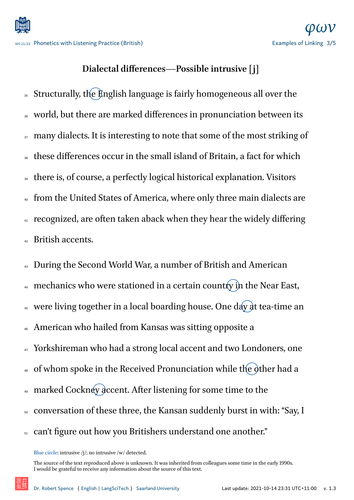

#### **[Dialectal differ](http://www.spence.saar.de/courses/phoneticswithlistening/)ences—Possible intrusive [j]**

 $_{\rm 35}$  Structurally, the English language is fairly homogeneous all over the world, but there are marked differences in pronunciation between its <sup>37</sup> many dialects. It is interesting to note that some of the most striking of these differences occur in the small island of Britain, a fact for which <sup>39</sup> there is, of course, a perfectly logical historical explanation. Visitors from the United States of America, where only three main dialects are recognized, are often taken aback when they hear the widely differing British accents.

<sup>43</sup> During the Second World War, a number of British and American

<sup>44</sup> mechanics who were stationed in a certain country in the Near East,

 $\cdot$ s were living together in a local boarding house. One day at tea-time an

American who hailed from Kansas was sitting opposite a

<sup>47</sup> Yorkshireman who had a strong local accent and two Londoners, one

 $\cdot$  of whom spoke in the Received Pronunciation while the  $\partial$ ther had a

- <sup>49</sup> marked Cockney accent. After listening for some time to the
- <sup>50</sup> conversation of these three, the Kansan suddenly burst in with: "Say, I
- $_{51}$  can't figure out how you Britishers understand one another."

Blue circle: intrusive  $|j|$ ; no intrusive  $|w|$  detected.

The source of the text reproduced above is unknown. It was inherited from colleagues some time in the early 1990s. I would be grateful to receive any information about the source of this text.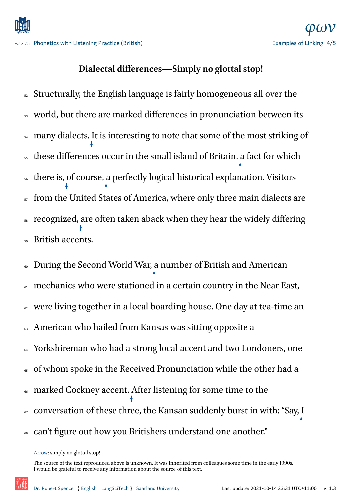

#### **[Dialectal differe](http://www.spence.saar.de/courses/phoneticswithlistening/)nces—Simply no glottal stop!**

<sup>52</sup> Structurally, the English language is fairly homogeneous all over the <sup>53</sup> world, but there are marked differences in pronunciation between its  $_{\rm s4}$   $\,$  many dialects. It is interesting to note that some of the most striking of **✻**  $_{\rm ss}\;$  these differences occur in the small island of Britain, a fact for which **✻**  $_{\rm ss}\;$  there is, of course, a perfectly logical historical explanation. Visitors **✻ ✻** 57 from the United States of America, where only three main dialects are  $_{\rm ss}$  recognized, are often taken aback when they hear the widely differing **✻** British accents.

During the Second World War, <sup>60</sup> a number of British and American **✻** <sup>61</sup> mechanics who were stationed in a certain country in the Near East, <sup>62</sup> were living together in a local boarding house. One day at tea-time an American who hailed from Kansas was sitting opposite a <sup>64</sup> Yorkshireman who had a strong local accent and two Londoners, one <sup>65</sup> of whom spoke in the Received Pronunciation while the other had a  $_{\tiny \rm \cdots}$  marked Cockney accent. After listening for some time to the **✻**  $_{\circ}$  conversation of these three, the Kansan suddenly burst in with: "Say, I **✻** can't figure out how you Britishers understand one another."

Arrow: simply no glottal stop!

The source of the text reproduced above is unknown. It was inherited from colleagues some time in the early 1990s. I would be grateful to receive any information about the source of this text.